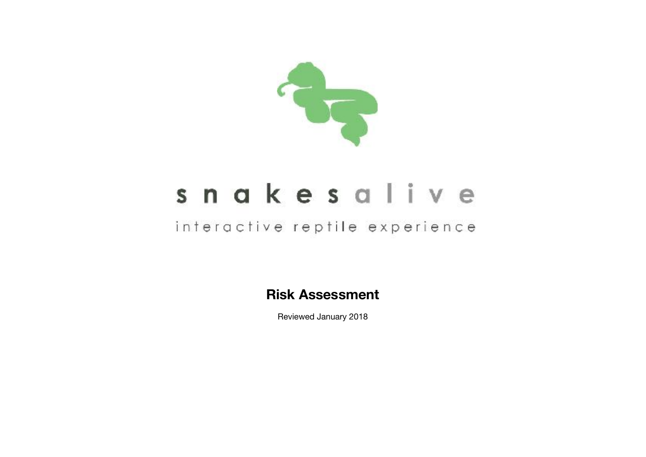

## snakesalive

## interactive reptile experience

**Risk Assessment** 

Reviewed January 2018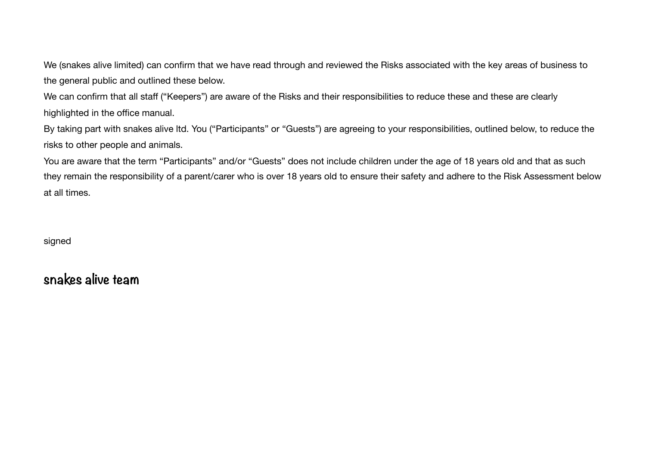We (snakes alive limited) can confirm that we have read through and reviewed the Risks associated with the key areas of business to the general public and outlined these below.

We can confirm that all staff ("Keepers") are aware of the Risks and their responsibilities to reduce these and these are clearly highlighted in the office manual.

By taking part with snakes alive ltd. You ("Participants" or "Guests") are agreeing to your responsibilities, outlined below, to reduce the risks to other people and animals.

You are aware that the term "Participants" and/or "Guests" does not include children under the age of 18 years old and that as such they remain the responsibility of a parent/carer who is over 18 years old to ensure their safety and adhere to the Risk Assessment below at all times.

signed

**snakes alive team**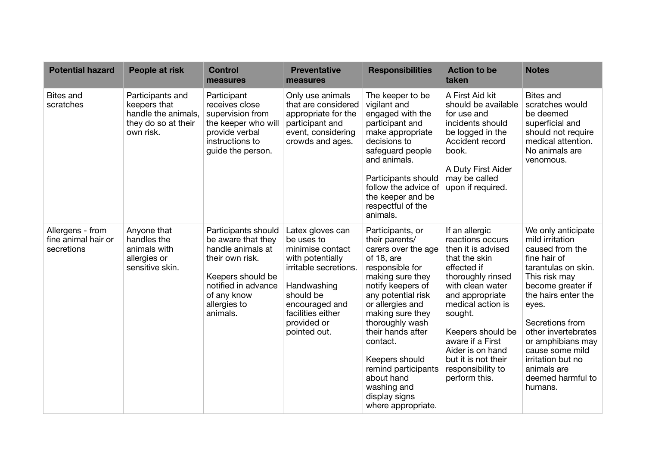| <b>Potential hazard</b>                               | People at risk                                                                              | <b>Control</b><br>measures                                                                                                                                               | <b>Preventative</b><br>measures                                                                                                                                                                   | <b>Responsibilities</b>                                                                                                                                                                                                                                                                                                                                            | <b>Action to be</b><br>taken                                                                                                                                                                                                                                                                                   | <b>Notes</b>                                                                                                                                                                                                                                                                                                                |
|-------------------------------------------------------|---------------------------------------------------------------------------------------------|--------------------------------------------------------------------------------------------------------------------------------------------------------------------------|---------------------------------------------------------------------------------------------------------------------------------------------------------------------------------------------------|--------------------------------------------------------------------------------------------------------------------------------------------------------------------------------------------------------------------------------------------------------------------------------------------------------------------------------------------------------------------|----------------------------------------------------------------------------------------------------------------------------------------------------------------------------------------------------------------------------------------------------------------------------------------------------------------|-----------------------------------------------------------------------------------------------------------------------------------------------------------------------------------------------------------------------------------------------------------------------------------------------------------------------------|
| <b>Bites and</b><br>scratches                         | Participants and<br>keepers that<br>handle the animals,<br>they do so at their<br>own risk. | Participant<br>receives close<br>supervision from<br>the keeper who will<br>provide verbal<br>instructions to<br>guide the person.                                       | Only use animals<br>that are considered<br>appropriate for the<br>participant and<br>event, considering<br>crowds and ages.                                                                       | The keeper to be<br>vigilant and<br>engaged with the<br>participant and<br>make appropriate<br>decisions to<br>safeguard people<br>and animals.<br>Participants should<br>follow the advice of<br>the keeper and be<br>respectful of the<br>animals.                                                                                                               | A First Aid kit<br>should be available<br>for use and<br>incidents should<br>be logged in the<br>Accident record<br>book.<br>A Duty First Aider<br>may be called<br>upon if required.                                                                                                                          | <b>Bites and</b><br>scratches would<br>be deemed<br>superficial and<br>should not require<br>medical attention.<br>No animals are<br>venomous.                                                                                                                                                                              |
| Allergens - from<br>fine animal hair or<br>secretions | Anyone that<br>handles the<br>animals with<br>allergies or<br>sensitive skin.               | Participants should<br>be aware that they<br>handle animals at<br>their own risk.<br>Keepers should be<br>notified in advance<br>of any know<br>allergies to<br>animals. | Latex gloves can<br>be uses to<br>minimise contact<br>with potentially<br>irritable secretions.<br>Handwashing<br>should be<br>encouraged and<br>facilities either<br>provided or<br>pointed out. | Participants, or<br>their parents/<br>carers over the age<br>of 18, are<br>responsible for<br>making sure they<br>notify keepers of<br>any potential risk<br>or allergies and<br>making sure they<br>thoroughly wash<br>their hands after<br>contact.<br>Keepers should<br>remind participants<br>about hand<br>washing and<br>display signs<br>where appropriate. | If an allergic<br>reactions occurs<br>then it is advised<br>that the skin<br>effected if<br>thoroughly rinsed<br>with clean water<br>and appropriate<br>medical action is<br>sought.<br>Keepers should be<br>aware if a First<br>Aider is on hand<br>but it is not their<br>responsibility to<br>perform this. | We only anticipate<br>mild irritation<br>caused from the<br>fine hair of<br>tarantulas on skin.<br>This risk may<br>become greater if<br>the hairs enter the<br>eyes.<br>Secretions from<br>other invertebrates<br>or amphibians may<br>cause some mild<br>irritation but no<br>animals are<br>deemed harmful to<br>humans. |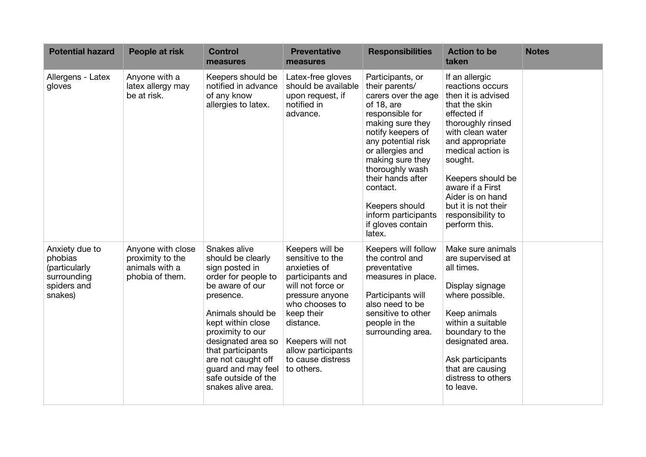| <b>Potential hazard</b>                                                             | People at risk                                                             | <b>Control</b><br>measures                                                                                                                                                                                                                                                                                   | <b>Preventative</b><br>measures                                                                                                                                                                                                           | <b>Responsibilities</b>                                                                                                                                                                                                                                                                                                       | <b>Action to be</b><br>taken                                                                                                                                                                                                                                                                                   | <b>Notes</b> |
|-------------------------------------------------------------------------------------|----------------------------------------------------------------------------|--------------------------------------------------------------------------------------------------------------------------------------------------------------------------------------------------------------------------------------------------------------------------------------------------------------|-------------------------------------------------------------------------------------------------------------------------------------------------------------------------------------------------------------------------------------------|-------------------------------------------------------------------------------------------------------------------------------------------------------------------------------------------------------------------------------------------------------------------------------------------------------------------------------|----------------------------------------------------------------------------------------------------------------------------------------------------------------------------------------------------------------------------------------------------------------------------------------------------------------|--------------|
| Allergens - Latex<br>gloves                                                         | Anyone with a<br>latex allergy may<br>be at risk.                          | Keepers should be<br>notified in advance<br>of any know<br>allergies to latex.                                                                                                                                                                                                                               | Latex-free gloves<br>should be available<br>upon request, if<br>notified in<br>advance.                                                                                                                                                   | Participants, or<br>their parents/<br>carers over the age<br>of 18, are<br>responsible for<br>making sure they<br>notify keepers of<br>any potential risk<br>or allergies and<br>making sure they<br>thoroughly wash<br>their hands after<br>contact.<br>Keepers should<br>inform participants<br>if gloves contain<br>latex. | If an allergic<br>reactions occurs<br>then it is advised<br>that the skin<br>effected if<br>thoroughly rinsed<br>with clean water<br>and appropriate<br>medical action is<br>sought.<br>Keepers should be<br>aware if a First<br>Aider is on hand<br>but it is not their<br>responsibility to<br>perform this. |              |
| Anxiety due to<br>phobias<br>(particularly<br>surrounding<br>spiders and<br>snakes) | Anyone with close<br>proximity to the<br>animals with a<br>phobia of them. | Snakes alive<br>should be clearly<br>sign posted in<br>order for people to<br>be aware of our<br>presence.<br>Animals should be<br>kept within close<br>proximity to our<br>designated area so<br>that participants<br>are not caught off<br>guard and may feel<br>safe outside of the<br>snakes alive area. | Keepers will be<br>sensitive to the<br>anxieties of<br>participants and<br>will not force or<br>pressure anyone<br>who chooses to<br>keep their<br>distance.<br>Keepers will not<br>allow participants<br>to cause distress<br>to others. | Keepers will follow<br>the control and<br>preventative<br>measures in place.<br>Participants will<br>also need to be<br>sensitive to other<br>people in the<br>surrounding area.                                                                                                                                              | Make sure animals<br>are supervised at<br>all times.<br>Display signage<br>where possible.<br>Keep animals<br>within a suitable<br>boundary to the<br>designated area.<br>Ask participants<br>that are causing<br>distress to others<br>to leave.                                                              |              |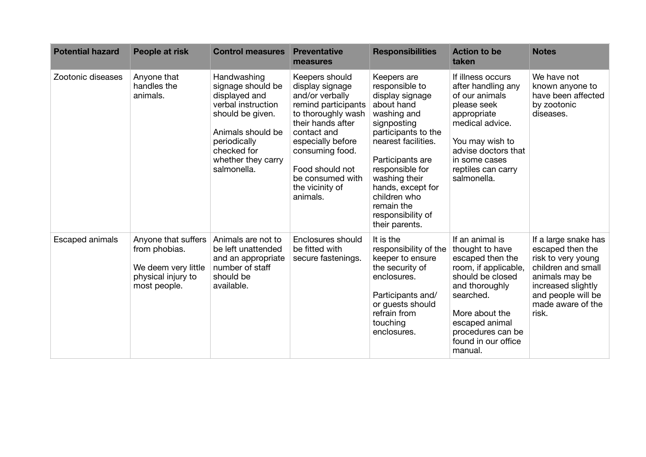| <b>Potential hazard</b> | People at risk                                                                                    | <b>Control measures</b>                                                                                                                                                              | <b>Preventative</b><br>measures                                                                                                                                                                                                                     | <b>Responsibilities</b>                                                                                                                                                                                                                                                                      | <b>Action to be</b><br>taken                                                                                                                                                                                                 | <b>Notes</b>                                                                                                                                                                     |
|-------------------------|---------------------------------------------------------------------------------------------------|--------------------------------------------------------------------------------------------------------------------------------------------------------------------------------------|-----------------------------------------------------------------------------------------------------------------------------------------------------------------------------------------------------------------------------------------------------|----------------------------------------------------------------------------------------------------------------------------------------------------------------------------------------------------------------------------------------------------------------------------------------------|------------------------------------------------------------------------------------------------------------------------------------------------------------------------------------------------------------------------------|----------------------------------------------------------------------------------------------------------------------------------------------------------------------------------|
| Zootonic diseases       | Anyone that<br>handles the<br>animals.                                                            | Handwashing<br>signage should be<br>displayed and<br>verbal instruction<br>should be given.<br>Animals should be<br>periodically<br>checked for<br>whether they carry<br>salmonella. | Keepers should<br>display signage<br>and/or verbally<br>remind participants<br>to thoroughly wash<br>their hands after<br>contact and<br>especially before<br>consuming food.<br>Food should not<br>be consumed with<br>the vicinity of<br>animals. | Keepers are<br>responsible to<br>display signage<br>about hand<br>washing and<br>signposting<br>participants to the<br>nearest facilities.<br>Participants are<br>responsible for<br>washing their<br>hands, except for<br>children who<br>remain the<br>responsibility of<br>their parents. | If illness occurs<br>after handling any<br>of our animals<br>please seek<br>appropriate<br>medical advice.<br>You may wish to<br>advise doctors that<br>in some cases<br>reptiles can carry<br>salmonella.                   | We have not<br>known anyone to<br>have been affected<br>by zootonic<br>diseases.                                                                                                 |
| Escaped animals         | Anyone that suffers<br>from phobias.<br>We deem very little<br>physical injury to<br>most people. | Animals are not to<br>be left unattended<br>and an appropriate<br>number of staff<br>should be<br>available.                                                                         | Enclosures should<br>be fitted with<br>secure fastenings.                                                                                                                                                                                           | It is the<br>responsibility of the<br>keeper to ensure<br>the security of<br>enclosures.<br>Participants and/<br>or guests should<br>refrain from<br>touching<br>enclosures.                                                                                                                 | If an animal is<br>thought to have<br>escaped then the<br>room, if applicable,<br>should be closed<br>and thoroughly<br>searched.<br>More about the<br>escaped animal<br>procedures can be<br>found in our office<br>manual. | If a large snake has<br>escaped then the<br>risk to very young<br>children and small<br>animals may be<br>increased slightly<br>and people will be<br>made aware of the<br>risk. |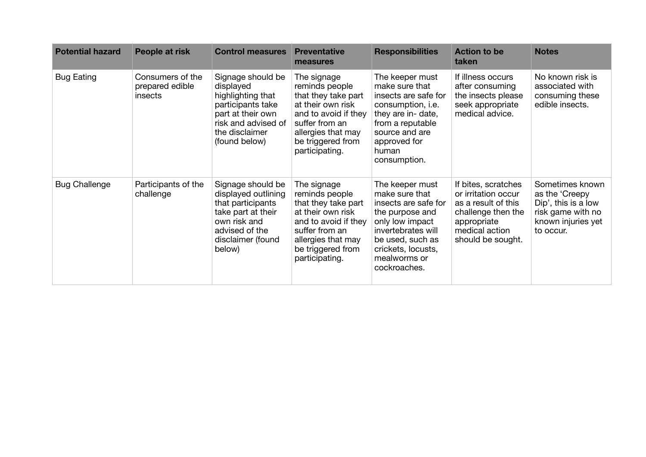| <b>Potential hazard</b> | People at risk                                 | <b>Control measures</b>                                                                                                                                 | <b>Preventative</b><br>measures                                                                                                                                                  | <b>Responsibilities</b>                                                                                                                                                                         | <b>Action to be</b><br>taken                                                                                                                  | <b>Notes</b>                                                                                                     |
|-------------------------|------------------------------------------------|---------------------------------------------------------------------------------------------------------------------------------------------------------|----------------------------------------------------------------------------------------------------------------------------------------------------------------------------------|-------------------------------------------------------------------------------------------------------------------------------------------------------------------------------------------------|-----------------------------------------------------------------------------------------------------------------------------------------------|------------------------------------------------------------------------------------------------------------------|
| <b>Bug Eating</b>       | Consumers of the<br>prepared edible<br>insects | Signage should be<br>displayed<br>highlighting that<br>participants take<br>part at their own<br>risk and advised of<br>the disclaimer<br>(found below) | The signage<br>reminds people<br>that they take part<br>at their own risk<br>and to avoid if they<br>suffer from an<br>allergies that may<br>be triggered from<br>participating. | The keeper must<br>make sure that<br>insects are safe for<br>consumption, i.e.<br>they are in- date,<br>from a reputable<br>source and are<br>approved for<br>human<br>consumption.             | If illness occurs<br>after consuming<br>the insects please<br>seek appropriate<br>medical advice.                                             | No known risk is<br>associated with<br>consuming these<br>edible insects.                                        |
| <b>Bug Challenge</b>    | Participants of the<br>challenge               | Signage should be<br>displayed outlining<br>that participants<br>take part at their<br>own risk and<br>advised of the<br>disclaimer (found<br>below)    | The signage<br>reminds people<br>that they take part<br>at their own risk<br>and to avoid if they<br>suffer from an<br>allergies that may<br>be triggered from<br>participating. | The keeper must<br>make sure that<br>insects are safe for<br>the purpose and<br>only low impact<br>invertebrates will<br>be used, such as<br>crickets, locusts,<br>mealworms or<br>cockroaches. | If bites, scratches<br>or irritation occur<br>as a result of this<br>challenge then the<br>appropriate<br>medical action<br>should be sought. | Sometimes known<br>as the 'Creepy<br>Dip', this is a low<br>risk game with no<br>known injuries yet<br>to occur. |